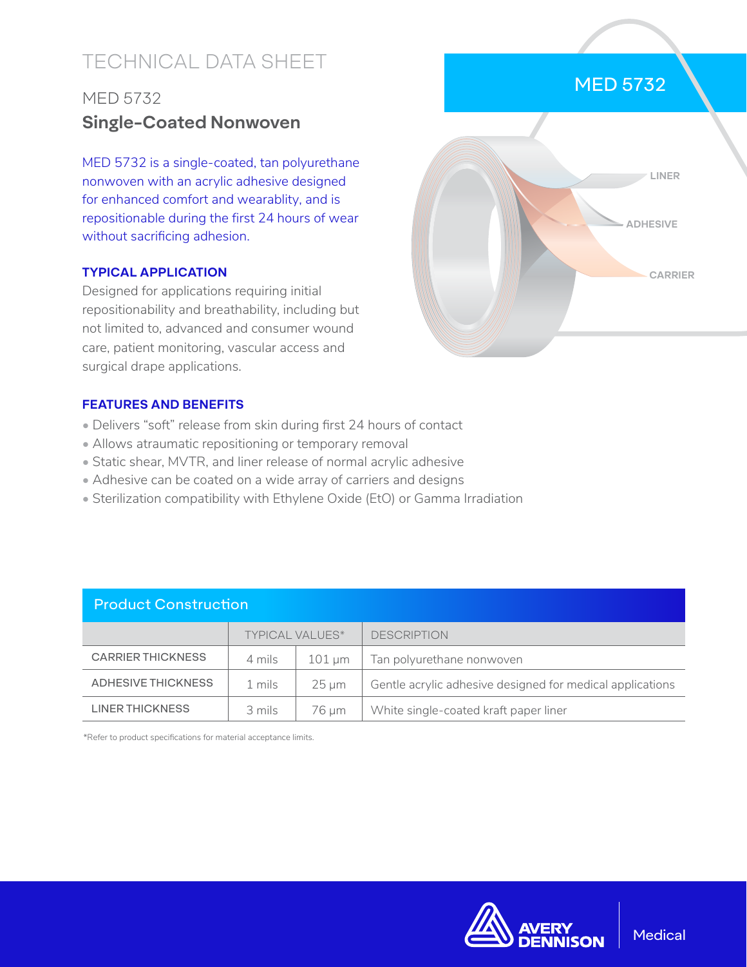# TECHNICAL DATA SHEET

# MED 5732 **Single-Coated Nonwoven**

MED 5732 is a single-coated, tan polyurethane nonwoven with an acrylic adhesive designed for enhanced comfort and wearablity, and is repositionable during the first 24 hours of wear without sacrificing adhesion.

### **TYPICAL APPLICATION**

Designed for applications requiring initial repositionability and breathability, including but not limited to, advanced and consumer wound care, patient monitoring, vascular access and surgical drape applications.

# MED 5732



### **FEATURES AND BENEFITS**

- Delivers "soft" release from skin during first 24 hours of contact
- Allows atraumatic repositioning or temporary removal
- Static shear, MVTR, and liner release of normal acrylic adhesive
- Adhesive can be coated on a wide array of carriers and designs
- Sterilization compatibility with Ethylene Oxide (EtO) or Gamma Irradiation

| <b>Product Construction</b> |                        |                     |                                                           |  |  |
|-----------------------------|------------------------|---------------------|-----------------------------------------------------------|--|--|
|                             | <b>TYPICAL VALUES*</b> |                     | <b>DESCRIPTION</b>                                        |  |  |
| <b>CARRIER THICKNESS</b>    | 4 mils                 | $101 \,\mathrm{um}$ | Tan polyurethane nonwoven                                 |  |  |
| ADHESIVE THICKNESS          | 1 mils                 | $25 \mu m$          | Gentle acrylic adhesive designed for medical applications |  |  |
| <b>LINER THICKNESS</b>      | 3 mils                 | 76 µm               | White single-coated kraft paper liner                     |  |  |

\*Refer to product specifications for material acceptance limits.